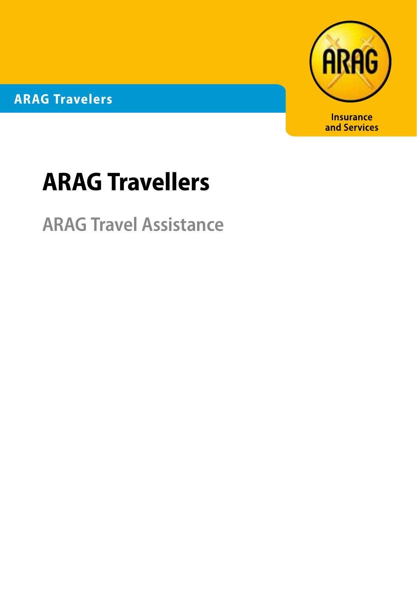**ARAG Travelers**



# **ARAG Travellers**

**ARAG Travel Assistance**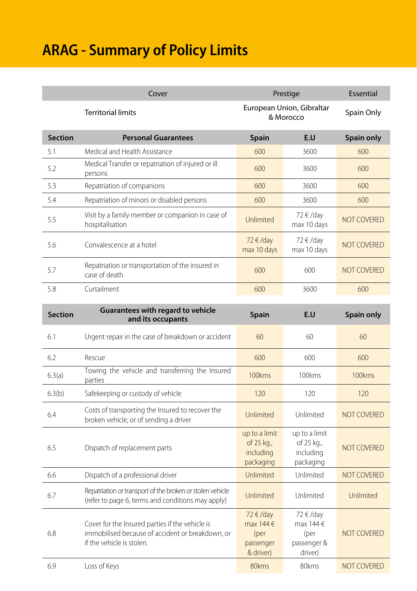## **ARAG - Summary of Policy Limits**

|                | Cover                                                                                                                            | Prestige                                                     |                                                         | Essential          |
|----------------|----------------------------------------------------------------------------------------------------------------------------------|--------------------------------------------------------------|---------------------------------------------------------|--------------------|
|                | <b>Territorial limits</b>                                                                                                        | European Union, Gibraltar<br>& Morocco                       |                                                         | Spain Only         |
| <b>Section</b> | <b>Personal Guarantees</b>                                                                                                       | <b>Spain</b>                                                 | E.U                                                     | <b>Spain only</b>  |
| 5.1            | Medical and Health Assistance                                                                                                    | 600                                                          | 3600                                                    | 600                |
| 5.2            | Medical Transfer or repatriation of injured or ill<br>persons                                                                    | 600                                                          | 3600                                                    | 600                |
| 5.3            | Repatriation of companions                                                                                                       | 600                                                          | 3600                                                    | 600                |
| 5.4            | Repatriation of minors or disabled persons                                                                                       | 600                                                          | 3600                                                    | 600                |
| 5.5            | Visit by a family member or companion in case of<br>hospitalisation                                                              | Unlimited                                                    | 72 € /day<br>max 10 days                                | <b>NOT COVERED</b> |
| 5.6            | Convalescence at a hotel                                                                                                         | 72 €/day<br>max 10 days                                      | 72 € /day<br>max 10 days                                | <b>NOT COVERED</b> |
| 5.7            | Repatriation or transportation of the insured in<br>case of death                                                                | 600                                                          | 600                                                     | <b>NOT COVERED</b> |
| 5.8            | Curtailment                                                                                                                      | 600                                                          | 3600                                                    | 600                |
|                | Guarantees with regard to vehicle                                                                                                |                                                              |                                                         |                    |
| <b>Section</b> | and its occupants                                                                                                                | <b>Spain</b>                                                 | E.U                                                     | Spain only         |
| 6.1            | Urgent repair in the case of breakdown or accident                                                                               | 60                                                           | 60                                                      | 60                 |
| 6.2            | Rescue                                                                                                                           | 600                                                          | 600                                                     | 600                |
| 6.3(a)         | Towing the vehicle and transferring the Insured<br>parties                                                                       | 100kms                                                       | 100kms                                                  | 100kms             |
| 6.3(b)         | Safekeeping or custody of vehicle                                                                                                | 120                                                          | 120                                                     | 120                |
| 6.4            | Costs of transporting the Insured to recover the<br>broken vehicle, or of sending a driver                                       | Unlimited                                                    | Unlimited                                               | <b>NOT COVERED</b> |
| 6.5            | Dispatch of replacement parts                                                                                                    | up to a limit<br>of 25 kg.,<br>including<br>packaging        | up to a limit<br>of 25 kg.,<br>including<br>packaging   | <b>NOT COVERED</b> |
| 6.6            | Dispatch of a professional driver                                                                                                | Unlimited                                                    | Unlimited                                               | <b>NOT COVERED</b> |
| 6.7            | Repatriation or transport of the broken or stolen vehicle<br>(refer to page 6, terms and conditions may apply)                   | Unlimited                                                    | Unlimited                                               | Unlimited          |
| 6.8            | Cover for the Insured parties if the vehicle is<br>immobilised because of accident or breakdown, or<br>if the vehicle is stolen. | $72 \in /day$<br>max 144 €<br>(per<br>passenger<br>& driver) | 72 €/day<br>max 144 €<br>(per<br>passenger &<br>driver) | <b>NOT COVERED</b> |
| 6.9            | Loss of Keys                                                                                                                     | 80kms                                                        | 80kms                                                   | <b>NOT COVERED</b> |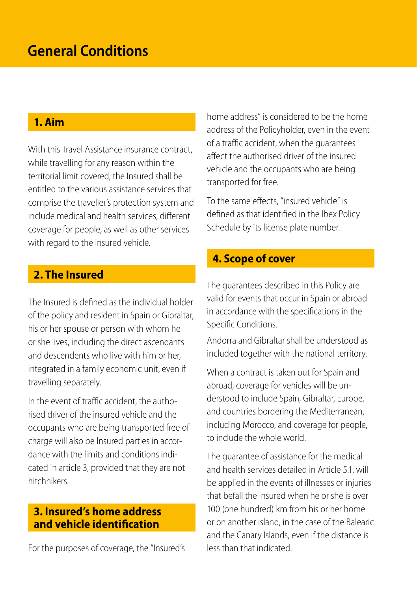## **General Conditions**

#### **1. Aim**

With this Travel Assistance insurance contract, while travelling for any reason within the territorial limit covered, the Insured shall be entitled to the various assistance services that comprise the traveller's protection system and include medical and health services, different coverage for people, as well as other services with regard to the insured vehicle.

## **2. The Insured**

The Insured is defined as the individual holder of the policy and resident in Spain or Gibraltar, his or her spouse or person with whom he or she lives, including the direct ascendants and descendents who live with him or her, integrated in a family economic unit, even if travelling separately.

In the event of traffic accident, the authorised driver of the insured vehicle and the occupants who are being transported free of charge will also be Insured parties in accordance with the limits and conditions indicated in article 3, provided that they are not hitchhikers.

## **3. Insured's home address and vehicle identification**

For the purposes of coverage, the "Insured's

home address" is considered to be the home address of the Policyholder, even in the event of a traffic accident, when the guarantees affect the authorised driver of the insured vehicle and the occupants who are being transported for free.

To the same effects, "insured vehicle" is defined as that identified in the Ibex Policy Schedule by its license plate number.

## **4. Scope of cover**

The guarantees described in this Policy are valid for events that occur in Spain or abroad in accordance with the specifications in the Specific Conditions.

Andorra and Gibraltar shall be understood as included together with the national territory.

When a contract is taken out for Spain and abroad, coverage for vehicles will be understood to include Spain, Gibraltar, Europe, and countries bordering the Mediterranean, including Morocco, and coverage for people, to include the whole world.

The guarantee of assistance for the medical and health services detailed in Article 5.1 will be applied in the events of illnesses or injuries that befall the Insured when he or she is over 100 (one hundred) km from his or her home or on another island, in the case of the Balearic and the Canary Islands, even if the distance is less than that indicated.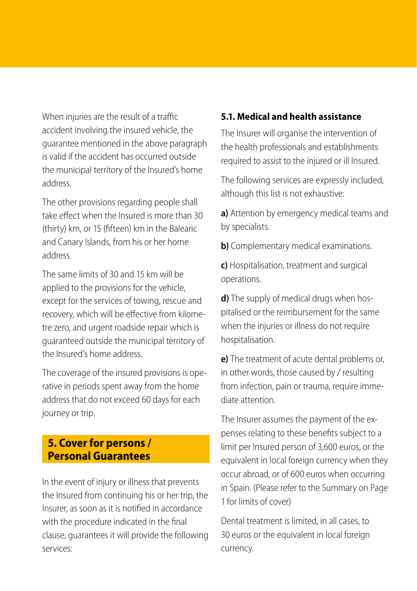When injuries are the result of a traffic accident involving the insured vehicle, the guarantee mentioned in the above paragraph is valid if the accident has occurred outside the municipal territory of the Insured's home address.

The other provisions regarding people shall take effect when the Insured is more than 30 (thirty) km, or 15 (fifteen) km in the Balearic and Canary Islands, from his or her home address.

The same limits of 30 and 15 km will be applied to the provisions for the vehicle, except for the services of towing, rescue and recovery, which will be effective from kilometre zero, and urgent roadside repair which is guaranteed outside the municipal territory of the Insured's home address.

The coverage of the insured provisions is operative in periods spent away from the home address that do not exceed 60 days for each journey or trip.

## **5. Cover for persons / Personal Guarantees**

In the event of injury or illness that prevents the Insured from continuing his or her trip, the Insurer, as soon as it is notified in accordance with the procedure indicated in the final clause, guarantees it will provide the following services:

#### **5.1. Medical and health assistance**

The Insurer will organise the intervention of the health professionals and establishments required to assist to the injured or ill Insured.

The following services are expressly included, although this list is not exhaustive:

**a)** Attention by emergency medical teams and by specialists.

**b)** Complementary medical examinations.

**c)** Hospitalisation, treatment and surgical operations.

**d**) The supply of medical drugs when hospitalised or the reimbursement for the same when the injuries or illness do not require hospitalisation.

**e)** The treatment of acute dental problems or, in other words, those caused by / resulting from infection, pain or trauma, require immediate attention.

The Insurer assumes the payment of the expenses relating to these benefits subject to a limit per Insured person of 3,600 euros, or the equivalent in local foreign currency when they occur abroad, or of 600 euros when occurring in Spain. (Please refer to the Summary on Page 1 for limits of cover)

Dental treatment is limited, in all cases, to 30 euros or the equivalent in local foreign currency.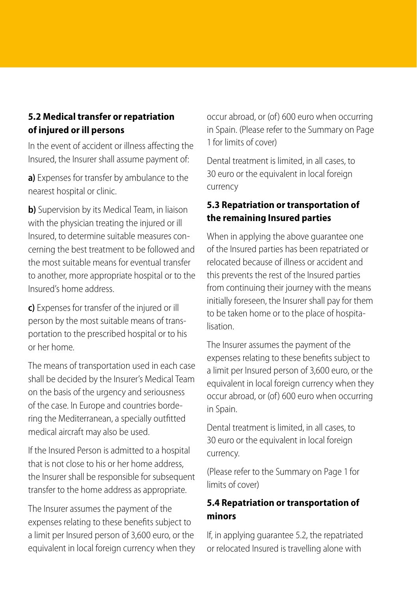#### **5.2 Medical transfer or repatriation of injured or ill persons**

In the event of accident or illness affecting the Insured, the Insurer shall assume payment of:

**a)** Expenses for transfer by ambulance to the nearest hospital or clinic.

**b)** Supervision by its Medical Team, in liaison with the physician treating the injured or ill Insured, to determine suitable measures concerning the best treatment to be followed and the most suitable means for eventual transfer to another, more appropriate hospital or to the Insured's home address.

**c)** Expenses for transfer of the injured or ill person by the most suitable means of transportation to the prescribed hospital or to his or her home.

The means of transportation used in each case shall be decided by the Insurer's Medical Team on the basis of the urgency and seriousness of the case. In Europe and countries bordering the Mediterranean, a specially outfitted medical aircraft may also be used.

If the Insured Person is admitted to a hospital that is not close to his or her home address, the Insurer shall be responsible for subsequent transfer to the home address as appropriate.

The Insurer assumes the payment of the expenses relating to these benefits subject to a limit per Insured person of 3,600 euro, or the equivalent in local foreign currency when they occur abroad, or (of) 600 euro when occurring in Spain. (Please refer to the Summary on Page 1 for limits of cover)

Dental treatment is limited, in all cases, to 30 euro or the equivalent in local foreign currency

#### **5.3 Repatriation or transportation of the remaining Insured parties**

When in applying the above guarantee one of the Insured parties has been repatriated or relocated because of illness or accident and this prevents the rest of the Insured parties from continuing their journey with the means initially foreseen, the Insurer shall pay for them to be taken home or to the place of hospitalisation.

The Insurer assumes the payment of the expenses relating to these benefits subject to a limit per Insured person of 3,600 euro, or the equivalent in local foreign currency when they occur abroad, or (of) 600 euro when occurring in Spain.

Dental treatment is limited, in all cases, to 30 euro or the equivalent in local foreign currency.

limits of cover) (Please refer to the Summary on Page 1 for

#### **5.4 Repatriation or transportation of minors**

If, in applying guarantee 5.2, the repatriated or relocated Insured is travelling alone with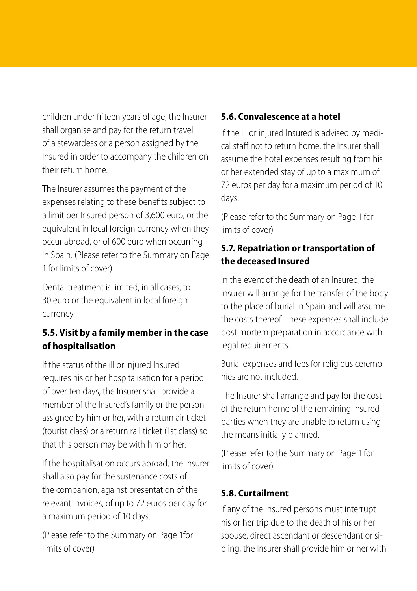children under fifteen years of age, the Insurer shall organise and pay for the return travel of a stewardess or a person assigned by the Insured in order to accompany the children on their return home.

The Insurer assumes the payment of the expenses relating to these benefits subject to a limit per Insured person of 3,600 euro, or the equivalent in local foreign currency when they occur abroad, or of 600 euro when occurring in Spain. (Please refer to the Summary on Page 1 for limits of cover)

Dental treatment is limited, in all cases, to 30 euro or the equivalent in local foreign currency.

#### **5.5. Visit by a family member in the case of hospitalisation**

If the status of the ill or injured Insured requires his or her hospitalisation for a period of over ten days, the Insurer shall provide a member of the Insured's family or the person assigned by him or her, with a return air ticket (tourist class) or a return rail ticket (1st class) so that this person may be with him or her.

If the hospitalisation occurs abroad, the Insurer shall also pay for the sustenance costs of the companion, against presentation of the relevant invoices, of up to 72 euros per day for a maximum period of 10 days.

(Please refer to the Summary on Page 1for limits of cover)

#### **5.6. Convalescence at a hotel**

If the ill or injured Insured is advised by medical staff not to return home, the Insurer shall assume the hotel expenses resulting from his or her extended stay of up to a maximum of 72 euros per day for a maximum period of 10 days.

limits of cover) (Please refer to the Summary on Page 1 for

#### **5.7. Repatriation or transportation of the deceased Insured**

In the event of the death of an Insured, the Insurer will arrange for the transfer of the body to the place of burial in Spain and will assume the costs thereof. These expenses shall include post mortem preparation in accordance with legal requirements.

Burial expenses and fees for religious ceremonies are not included.

The Insurer shall arrange and pay for the cost of the return home of the remaining Insured parties when they are unable to return using the means initially planned.

limits of cover) (Please refer to the Summary on Page 1 for

#### **5.8. Curtailment**

If any of the Insured persons must interrupt his or her trip due to the death of his or her spouse, direct ascendant or descendant or sibling, the Insurer shall provide him or her with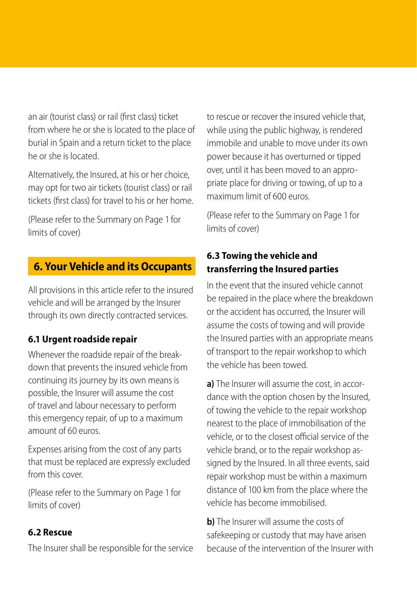an air (tourist class) or rail (first class) ticket from where he or she is located to the place of burial in Spain and a return ticket to the place he or she is located.

Alternatively, the Insured, at his or her choice, may opt for two air tickets (tourist class) or rail tickets (first class) for travel to his or her home.

limits of cover)

## **6. Your Vehicle and its Occupants**

All provisions in this article refer to the insured vehicle and will be arranged by the Insurer through its own directly contracted services.

#### **6.1 Urgent roadside repair**

Whenever the roadside repair of the breakdown that prevents the insured vehicle from continuing its journey by its own means is possible, the Insurer will assume the cost of travel and labour necessary to perform this emergency repair, of up to a maximum amount of 60 euros.

Expenses arising from the cost of any parts that must be replaced are expressly excluded from this cover.

limits of cover) (Please refer to the Summary on Page 1 for

#### **6.2 Rescue**

The Insurer shall be responsible for the service

to rescue or recover the insured vehicle that, while using the public highway, is rendered immobile and unable to move under its own power because it has overturned or tipped over, until it has been moved to an appropriate place for driving or towing, of up to a maximum limit of 600 euros.

limits of cover) (Please refer to the Summary on Page 1 for (Please refer to the Summary on Page 1 for

## **6.3 Towing the vehicle and transferring the Insured parties**

In the event that the insured vehicle cannot be repaired in the place where the breakdown or the accident has occurred, the Insurer will assume the costs of towing and will provide the Insured parties with an appropriate means of transport to the repair workshop to which the vehicle has been towed.

**a)** The Insurer will assume the cost, in accordance with the option chosen by the Insured, of towing the vehicle to the repair workshop nearest to the place of immobilisation of the vehicle, or to the closest official service of the vehicle brand, or to the repair workshop assigned by the Insured. In all three events, said repair workshop must be within a maximum distance of 100 km from the place where the vehicle has become immobilised.

**b)** The Insurer will assume the costs of safekeeping or custody that may have arisen because of the intervention of the Insurer with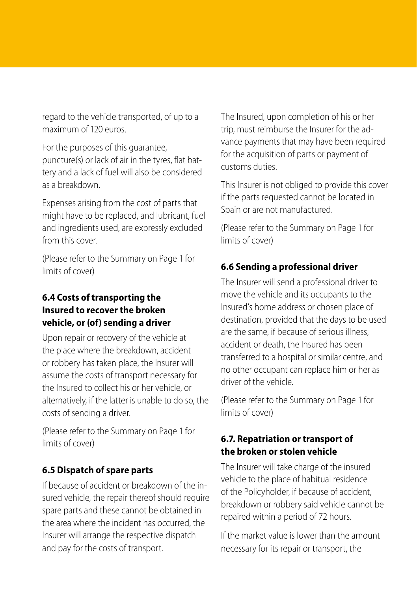regard to the vehicle transported, of up to a maximum of 120 euros.

For the purposes of this guarantee, puncture(s) or lack of air in the tyres, flat battery and a lack of fuel will also be considered as a breakdown.

Expenses arising from the cost of parts that might have to be replaced, and lubricant, fuel and ingredients used, are expressly excluded from this cover

limits of cover) (Please refer to the Summary on Page 1 for

#### **6.4 Costs of transporting the Insured to recover the broken vehicle, or (of) sending a driver**

Upon repair or recovery of the vehicle at the place where the breakdown, accident or robbery has taken place, the Insurer will assume the costs of transport necessary for the Insured to collect his or her vehicle, or alternatively, if the latter is unable to do so, the costs of sending a driver.

limits of cover) (Please refer to the Summary on Page 1 for

#### **6.5 Dispatch of spare parts**

If because of accident or breakdown of the insured vehicle, the repair thereof should require spare parts and these cannot be obtained in the area where the incident has occurred, the Insurer will arrange the respective dispatch and pay for the costs of transport.

The Insured, upon completion of his or her trip, must reimburse the Insurer for the advance payments that may have been required for the acquisition of parts or payment of customs duties.

This Insurer is not obliged to provide this cover if the parts requested cannot be located in Spain or are not manufactured.

limits of cover) (Please refer to the Summary on Page 1 for

#### **6.6 Sending a professional driver**

The Insurer will send a professional driver to move the vehicle and its occupants to the Insured's home address or chosen place of destination, provided that the days to be used are the same, if because of serious illness, accident or death, the Insured has been transferred to a hospital or similar centre, and no other occupant can replace him or her as driver of the vehicle.

limits of cover) (Please refer to the Summary on Page 1 for

#### **6.7. Repatriation or transport of the broken or stolen vehicle**

The Insurer will take charge of the insured vehicle to the place of habitual residence of the Policyholder, if because of accident, breakdown or robbery said vehicle cannot be repaired within a period of 72 hours.

If the market value is lower than the amount necessary for its repair or transport, the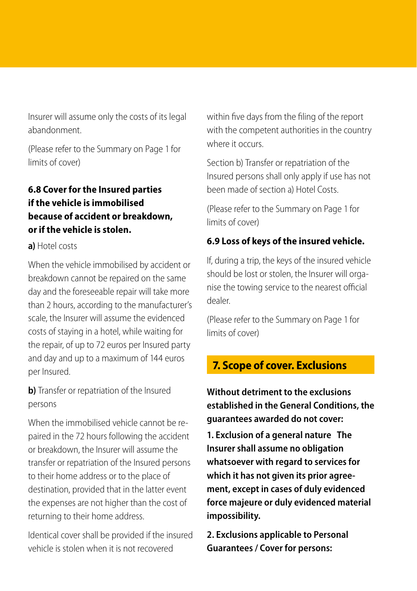Insurer will assume only the costs of its legal abandonment.

limits of cover) (Please refer to the Summary on Page 1 for

## **6.8 Cover for the Insured parties if the vehicle is immobilised because of accident or breakdown, or if the vehicle is stolen.**

#### **a)** Hotel costs

When the vehicle immobilised by accident or breakdown cannot be repaired on the same day and the foreseeable repair will take more than 2 hours, according to the manufacturer's scale, the Insurer will assume the evidenced costs of staying in a hotel, while waiting for the repair, of up to 72 euros per Insured party and day and up to a maximum of 144 euros per Insured.

**b**) Transfer or repatriation of the Insured persons

When the immobilised vehicle cannot be repaired in the 72 hours following the accident or breakdown, the Insurer will assume the transfer or repatriation of the Insured persons to their home address or to the place of destination, provided that in the latter event the expenses are not higher than the cost of returning to their home address.

Identical cover shall be provided if the insured vehicle is stolen when it is not recovered

within five days from the filing of the report with the competent authorities in the country where it occurs

Section b) Transfer or repatriation of the Insured persons shall only apply if use has not been made of section a) Hotel Costs.

limits of cover) (Please refer to the Summary on Page 1 for

#### **6.9 Loss of keys of the insured vehicle.**

If, during a trip, the keys of the insured vehicle should be lost or stolen, the Insurer will organise the towing service to the nearest official dealer.

limits of cover) (Please refer to the Summary on Page 1 for

## **7. Scope of cover. Exclusions**

**Without detriment to the exclusions established in the General Conditions, the guarantees awarded do not cover:**

**1. Exclusion of a general nature The Insurer shall assume no obligation whatsoever with regard to services for which it has not given its prior agreement, except in cases of duly evidenced force majeure or duly evidenced material impossibility.**

**2. Exclusions applicable to Personal Guarantees / Cover for persons:**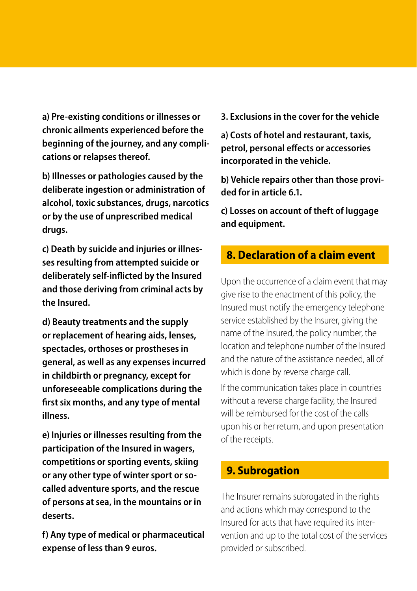**a) Pre-existing conditions or illnesses or chronic ailments experienced before the beginning of the journey, and any complications or relapses thereof.**

**b) Illnesses or pathologies caused by the deliberate ingestion or administration of alcohol, toxic substances, drugs, narcotics or by the use of unprescribed medical drugs.**

**c) Death by suicide and injuries or illnesses resulting from attempted suicide or deliberately self-inflicted by the Insured and those deriving from criminal acts by the Insured.**

**d) Beauty treatments and the supply or replacement of hearing aids, lenses, spectacles, orthoses or prostheses in general, as well as any expenses incurred in childbirth or pregnancy, except for unforeseeable complications during the first six months, and any type of mental illness.**

**e) Injuries or illnesses resulting from the participation of the Insured in wagers, competitions or sporting events, skiing or any other type of winter sport or socalled adventure sports, and the rescue of persons at sea, in the mountains or in deserts.**

**f) Any type of medical or pharmaceutical expense of less than 9 euros.**

**3. Exclusions in the cover for the vehicle**

**a) Costs of hotel and restaurant, taxis, petrol, personal effects or accessories incorporated in the vehicle.**

**b) Vehicle repairs other than those provided for in article 6.1.**

**c) Losses on account of theft of luggage and equipment.**

## **8. Declaration of a claim event**

Upon the occurrence of a claim event that may give rise to the enactment of this policy, the Insured must notify the emergency telephone service established by the Insurer, giving the name of the Insured, the policy number, the location and telephone number of the Insured and the nature of the assistance needed, all of which is done by reverse charge call.

If the communication takes place in countries without a reverse charge facility, the Insured will be reimbursed for the cost of the calls upon his or her return, and upon presentation of the receipts.

## **9. Subrogation**

The Insurer remains subrogated in the rights and actions which may correspond to the Insured for acts that have required its intervention and up to the total cost of the services provided or subscribed.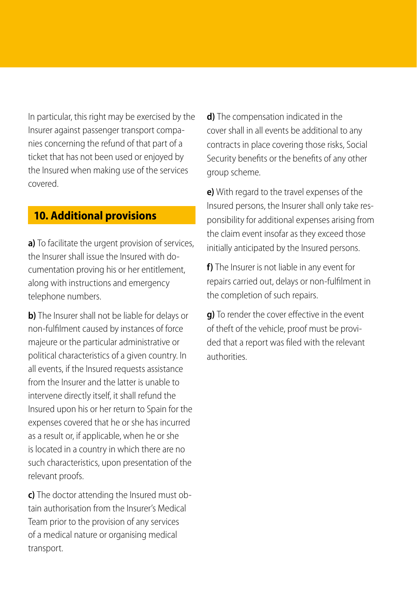In particular, this right may be exercised by the Insurer against passenger transport companies concerning the refund of that part of a ticket that has not been used or enjoyed by the Insured when making use of the services covered.

#### **10. Additional provisions**

**a)** To facilitate the urgent provision of services, the Insurer shall issue the Insured with documentation proving his or her entitlement, along with instructions and emergency telephone numbers.

**b**) The Insurer shall not be liable for delays or non-fulfilment caused by instances of force majeure or the particular administrative or political characteristics of a given country. In all events, if the Insured requests assistance from the Insurer and the latter is unable to intervene directly itself, it shall refund the Insured upon his or her return to Spain for the expenses covered that he or she has incurred as a result or, if applicable, when he or she is located in a country in which there are no such characteristics, upon presentation of the relevant proofs.

**c)** The doctor attending the Insured must obtain authorisation from the Insurer's Medical Team prior to the provision of any services of a medical nature or organising medical transport.

**d)** The compensation indicated in the cover shall in all events be additional to any contracts in place covering those risks, Social Security benefits or the benefits of any other group scheme.

**e)** With regard to the travel expenses of the Insured persons, the Insurer shall only take responsibility for additional expenses arising from the claim event insofar as they exceed those initially anticipated by the Insured persons.

**f)** The Insurer is not liable in any event for repairs carried out, delays or non-fulfilment in the completion of such repairs.

**g)** To render the cover effective in the event of theft of the vehicle, proof must be provided that a report was filed with the relevant authorities.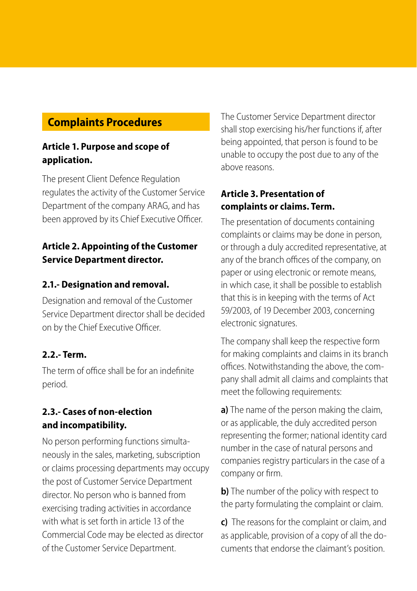## **Complaints Procedures**

#### **Article 1. Purpose and scope of application.**

The present Client Defence Regulation regulates the activity of the Customer Service Department of the company ARAG, and has been approved by its Chief Executive Officer.

#### **Article 2. Appointing of the Customer Service Department director.**

#### **2.1.- Designation and removal.**

Designation and removal of the Customer Service Department director shall be decided on by the Chief Executive Officer.

#### **2.2.- Term.**

The term of office shall be for an indefinite period.

#### **2.3.- Cases of non-election and incompatibility.**

No person performing functions simultaneously in the sales, marketing, subscription or claims processing departments may occupy the post of Customer Service Department director. No person who is banned from exercising trading activities in accordance with what is set forth in article 13 of the Commercial Code may be elected as director of the Customer Service Department.

The Customer Service Department director shall stop exercising his/her functions if, after being appointed, that person is found to be unable to occupy the post due to any of the above reasons.

#### **Article 3. Presentation of complaints or claims. Term.**

The presentation of documents containing complaints or claims may be done in person, or through a duly accredited representative, at any of the branch offices of the company, on paper or using electronic or remote means, in which case, it shall be possible to establish that this is in keeping with the terms of Act 59/2003, of 19 December 2003, concerning electronic signatures.

The company shall keep the respective form for making complaints and claims in its branch offices. Notwithstanding the above, the company shall admit all claims and complaints that meet the following requirements:

**a)** The name of the person making the claim, or as applicable, the duly accredited person representing the former; national identity card number in the case of natural persons and companies registry particulars in the case of a company or firm.

**b)** The number of the policy with respect to the party formulating the complaint or claim.

**c)** The reasons for the complaint or claim, and as applicable, provision of a copy of all the documents that endorse the claimant's position.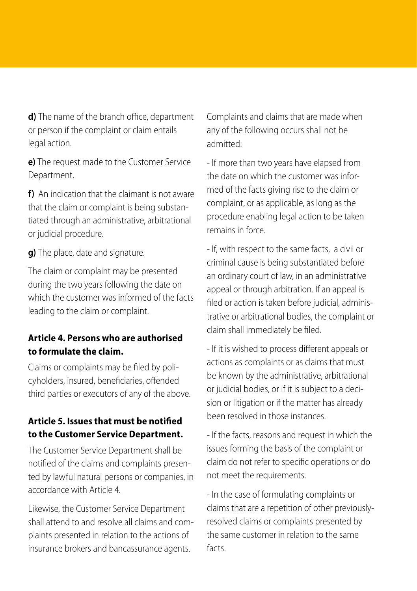**d)** The name of the branch office, department or person if the complaint or claim entails legal action.

**e)** The request made to the Customer Service Department.

**f)** An indication that the claimant is not aware that the claim or complaint is being substantiated through an administrative, arbitrational or judicial procedure.

**g)** The place, date and signature.

The claim or complaint may be presented during the two years following the date on which the customer was informed of the facts leading to the claim or complaint.

#### **Article 4. Persons who are authorised to formulate the claim.**

Claims or complaints may be filed by policyholders, insured, beneficiaries, offended third parties or executors of any of the above.

#### **Article 5. Issues that must be notified to the Customer Service Department.**

The Customer Service Department shall be notified of the claims and complaints presented by lawful natural persons or companies, in accordance with Article 4.

Likewise, the Customer Service Department shall attend to and resolve all claims and complaints presented in relation to the actions of insurance brokers and bancassurance agents.

Complaints and claims that are made when any of the following occurs shall not be admitted:

- If more than two years have elapsed from the date on which the customer was informed of the facts giving rise to the claim or complaint, or as applicable, as long as the procedure enabling legal action to be taken remains in force.

- If, with respect to the same facts, a civil or criminal cause is being substantiated before an ordinary court of law, in an administrative appeal or through arbitration. If an appeal is filed or action is taken before judicial, administrative or arbitrational bodies, the complaint or claim shall immediately be filed.

- If it is wished to process different appeals or actions as complaints or as claims that must be known by the administrative, arbitrational or judicial bodies, or if it is subject to a decision or litigation or if the matter has already been resolved in those instances.

- If the facts, reasons and request in which the issues forming the basis of the complaint or claim do not refer to specific operations or do not meet the requirements.

- In the case of formulating complaints or claims that are a repetition of other previouslyresolved claims or complaints presented by the same customer in relation to the same facts.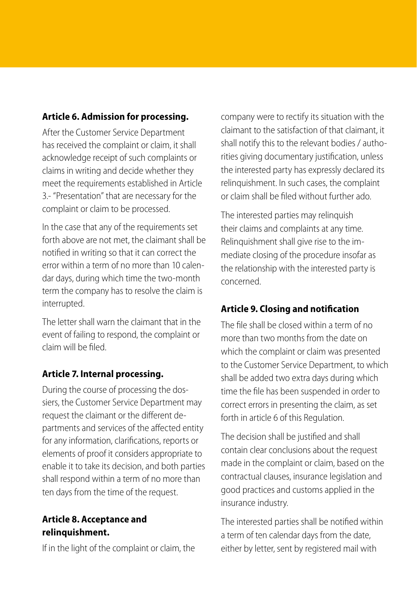#### **Article 6. Admission for processing.**

After the Customer Service Department has received the complaint or claim, it shall acknowledge receipt of such complaints or claims in writing and decide whether they meet the requirements established in Article 3.- "Presentation" that are necessary for the complaint or claim to be processed.

In the case that any of the requirements set forth above are not met, the claimant shall be notified in writing so that it can correct the error within a term of no more than 10 calendar days, during which time the two-month term the company has to resolve the claim is interrupted.

The letter shall warn the claimant that in the event of failing to respond, the complaint or claim will be filed.

#### **Article 7. Internal processing.**

During the course of processing the dossiers, the Customer Service Department may request the claimant or the different departments and services of the affected entity for any information, clarifications, reports or elements of proof it considers appropriate to enable it to take its decision, and both parties shall respond within a term of no more than ten days from the time of the request.

#### **Article 8. Acceptance and relinquishment.**

If in the light of the complaint or claim, the

company were to rectify its situation with the claimant to the satisfaction of that claimant, it shall notify this to the relevant bodies / authorities giving documentary justification, unless the interested party has expressly declared its relinquishment. In such cases, the complaint or claim shall be filed without further ado.

The interested parties may relinquish their claims and complaints at any time. Relinquishment shall give rise to the immediate closing of the procedure insofar as the relationship with the interested party is concerned.

#### **Article 9. Closing and notification**

The file shall be closed within a term of no more than two months from the date on which the complaint or claim was presented to the Customer Service Department, to which shall be added two extra days during which time the file has been suspended in order to correct errors in presenting the claim, as set forth in article 6 of this Regulation.

The decision shall be justified and shall contain clear conclusions about the request made in the complaint or claim, based on the contractual clauses, insurance legislation and good practices and customs applied in the insurance industry.

The interested parties shall be notified within a term of ten calendar days from the date, either by letter, sent by registered mail with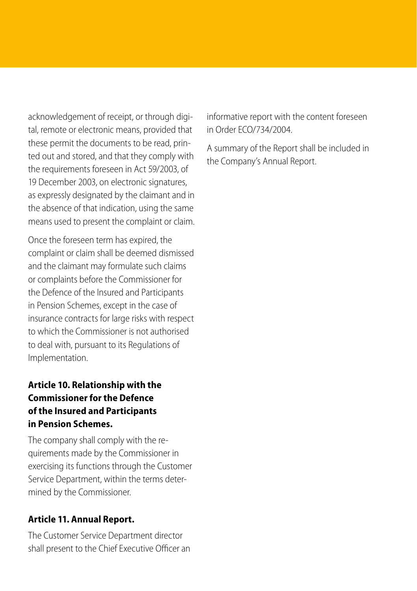acknowledgement of receipt, or through digital, remote or electronic means, provided that these permit the documents to be read, printed out and stored, and that they comply with the requirements foreseen in Act 59/2003, of 19 December 2003, on electronic signatures, as expressly designated by the claimant and in the absence of that indication, using the same means used to present the complaint or claim.

Once the foreseen term has expired, the complaint or claim shall be deemed dismissed and the claimant may formulate such claims or complaints before the Commissioner for the Defence of the Insured and Participants in Pension Schemes, except in the case of insurance contracts for large risks with respect to which the Commissioner is not authorised to deal with, pursuant to its Regulations of Implementation.

#### **Article 10. Relationship with the Commissioner for the Defence of the Insured and Participants in Pension Schemes.**

The company shall comply with the requirements made by the Commissioner in exercising its functions through the Customer Service Department, within the terms determined by the Commissioner.

#### **Article 11. Annual Report.**

The Customer Service Department director shall present to the Chief Executive Officer an informative report with the content foreseen in Order ECO/734/2004.

A summary of the Report shall be included in the Company's Annual Report.